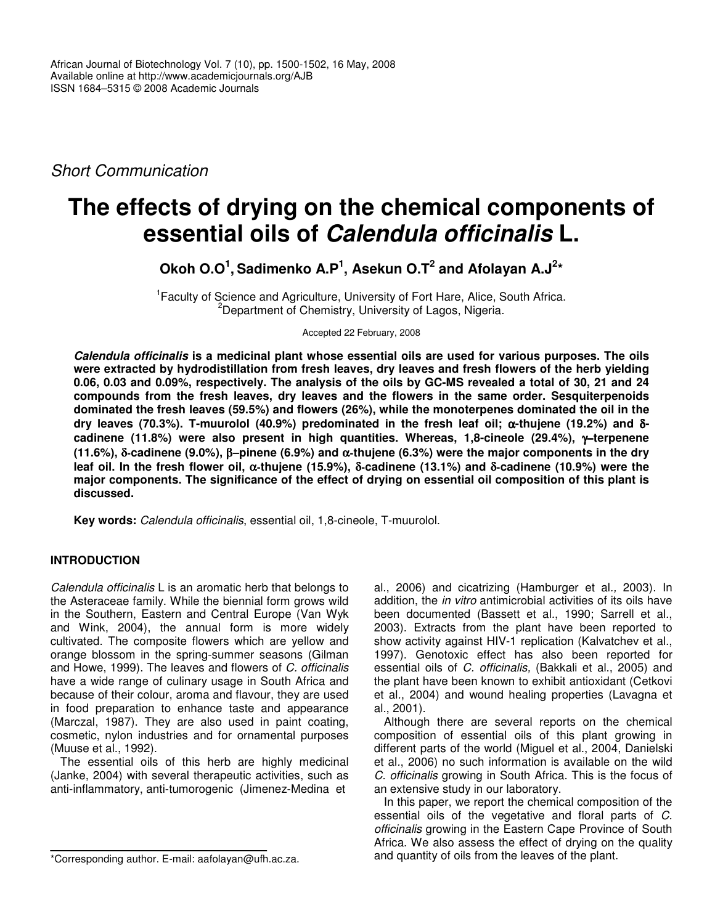*Short Communication*

# **The effects of drying on the chemical components of essential oils of** *Calendula officinalis* **L.**

**Okoh O.O 1 , Sadimenko A.P 1 , Asekun O.T 2 and Afolayan A.J 2 \***

<sup>1</sup> Faculty of Science and Agriculture, University of Fort Hare, Alice, South Africa. <sup>2</sup>Department of Chemistry, University of Lagos, Nigeria.

Accepted 22 February, 2008

*Calendula officinalis* **is a medicinal plant whose essential oils are used for various purposes. The oils were extracted by hydrodistillation from fresh leaves, dry leaves and fresh flowers of the herb yielding** 0.06, 0.03 and 0.09%, respectively. The analysis of the oils by GC-MS revealed a total of 30, 21 and 24 **compounds from the fresh leaves, dry leaves and the flowers in the same order. Sesquiterpenoids dominated the fresh leaves (59.5%) and flowers (26%), while the monoterpenes dominated the oil in the dry leaves (70.3%). T-muurolol (40.9%) predominated in the fresh leaf oil;** α**-thujene (19.2%) and** δ**cadinene (11.8%) were also present in high quantities. Whereas, 1,8-cineole (29.4%),** γ−**terpenene (11.6%),** δ**-cadinene (9.0%),** β−**pinene (6.9%) and** α**-thujene (6.3%) were the major components in the dry** leaf oil. In the fresh flower oil,  $\alpha$ -thujene (15.9%),  $\delta$ -cadinene (13.1%) and  $\delta$ -cadinene (10.9%) were the **major components. The significance of the effect of drying on essential oil composition of this plant is discussed.**

**Key words:** *Calendula officinalis*, essential oil, 1,8-cineole, T-muurolol.

# **INTRODUCTION**

*Calendula officinalis* L is an aromatic herb that belongs to the Asteraceae family. While the biennial form grows wild in the Southern, Eastern and Central Europe (Van Wyk and Wink, 2004), the annual form is more widely cultivated. The composite flowers which are yellow and orange blossom in the spring-summer seasons (Gilman and Howe, 1999). The leaves and flowers of *C. officinalis* have a wide range of culinary usage in South Africa and because of their colour, aroma and flavour, they are used in food preparation to enhance taste and appearance (Marczal, 1987). They are also used in paint coating, cosmetic, nylon industries and for ornamental purposes (Muuse et al., 1992).

The essential oils of this herb are highly medicinal (Janke, 2004) with several therapeutic activities, such as anti-inflammatory, anti-tumorogenic (Jimenez-Medina et

al., 2006) and cicatrizing (Hamburger et al*.,* 2003). In addition, the *in vitro* antimicrobial activities of its oils have been documented (Bassett et al*.*, 1990; Sarrell et al*.*, 2003). Extracts from the plant have been reported to show activity against HIV-1 replication (Kalvatchev et al*.*, 1997). Genotoxic effect has also been reported for essential oils of *C. officinalis,* (Bakkali et al., 2005) and the plant have been known to exhibit antioxidant (Cetkovi et al*.*, 2004) and wound healing properties (Lavagna et al*.*, 2001).

Although there are several reports on the chemical composition of essential oils of this plant growing in different parts of the world (Miguel et al., 2004, Danielski et al*.*, 2006) no such information is available on the wild *C. officinalis* growing in South Africa. This is the focus of an extensive study in our laboratory.

In this paper, we report the chemical composition of the essential oils of the vegetative and floral parts of *C. officinalis* growing in the Eastern Cape Province of South Africa. We also assess the effect of drying on the quality and quantity of oils from the leaves of the plant.

<sup>\*</sup>Corresponding author. E-mail: aafolayan@ufh.ac.za.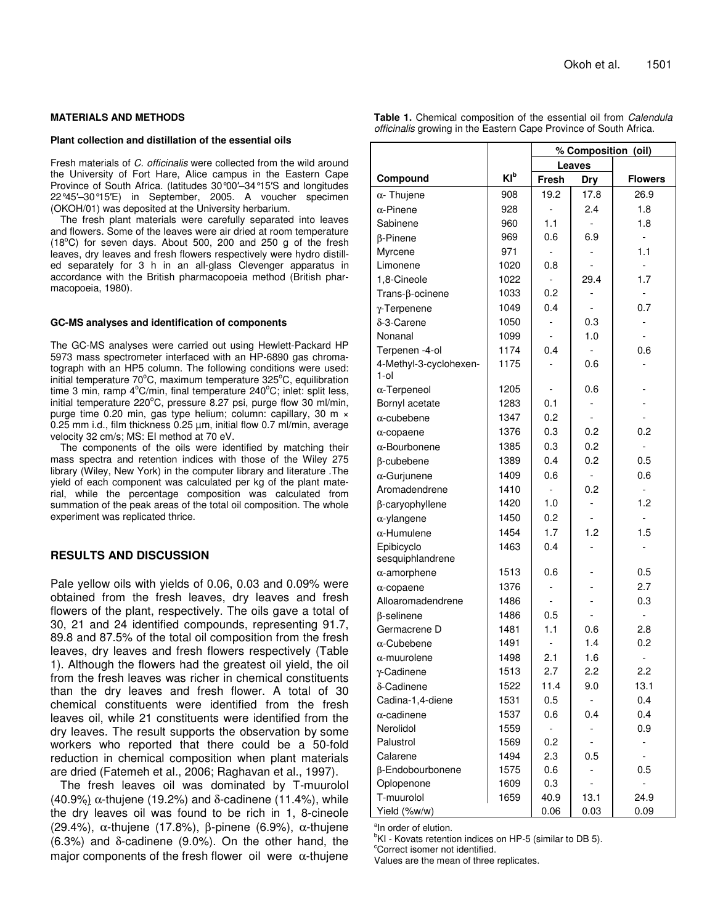### **MATERIALS AND METHODS**

#### **Plant collection and distillation of the essential oils**

Fresh materials of *C. officinalis* were collected from the wild around the University of Fort Hare, Alice campus in the Eastern Cape Province of South Africa. (latitudes 30°00'-34°15'S and longitudes 22°45–30°15E) in September, 2005. A voucher specimen (OKOH/01) was deposited at the University herbarium.

The fresh plant materials were carefully separated into leaves and flowers. Some of the leaves were air dried at room temperature (18°C) for seven days. About 500, 200 and 250 g of the fresh leaves, dry leaves and fresh flowers respectively were hydro distilled separately for 3 h in an all-glass Clevenger apparatus in accordance with the British pharmacopoeia method (British pharmacopoeia, 1980).

#### **GC-MS analyses and identification of components**

The GC-MS analyses were carried out using Hewlett-Packard HP 5973 mass spectrometer interfaced with an HP-6890 gas chromatograph with an HP5 column. The following conditions were used: initial temperature 70°C, maximum temperature 325°C, equilibration time 3 min, ramp 4°C/min, final temperature 240°C; inlet: split less, initial temperature 220°C, pressure 8.27 psi, purge flow 30 ml/min, purge time 0.20 min, gas type helium; column: capillary, 30 m × 0.25 mm i.d., film thickness 0.25 µm, initial flow 0.7 ml/min, average velocity 32 cm/s; MS: EI method at 70 eV.

The components of the oils were identified by matching their mass spectra and retention indices with those of the Wiley 275 library (Wiley, New York) in the computer library and literature .The yield of each component was calculated per kg of the plant material, while the percentage composition was calculated from summation of the peak areas of the total oil composition. The whole experiment was replicated thrice.

## **RESULTS AND DISCUSSION**

Pale yellow oils with yields of 0.06, 0.03 and 0.09% were obtained from the fresh leaves, dry leaves and fresh flowers of the plant, respectively. The oils gave a total of 30, 21 and 24 identified compounds, representing 91.7, 89.8 and 87.5% of the total oil composition from the fresh leaves, dry leaves and fresh flowers respectively (Table 1). Although the flowers had the greatest oil yield, the oil from the fresh leaves was richer in chemical constituents than the dry leaves and fresh flower. A total of 30 chemical constituents were identified from the fresh leaves oil, while 21 constituents were identified from the dry leaves. The result supports the observation by some workers who reported that there could be a 50-fold reduction in chemical composition when plant materials are dried (Fatemeh et al*.*, 2006; Raghavan et al., 1997).

The fresh leaves oil was dominated by T-muurolol (40.9%)  $\alpha$ -thujene (19.2%) and δ-cadinene (11.4%), while the dry leaves oil was found to be rich in 1, 8-cineole (29.4%), α-thujene (17.8%), β-pinene (6.9%), α-thujene (6.3%) and δ-cadinene (9.0%). On the other hand, the major components of the fresh flower oil were  $\alpha$ -thujene

|  | Table 1. Chemical composition of the essential oil from Calendula        |  |  |
|--|--------------------------------------------------------------------------|--|--|
|  | <i>officinalis</i> growing in the Eastern Cape Province of South Africa. |  |  |

|                                   |                 | % Composition (oil) |                |                          |
|-----------------------------------|-----------------|---------------------|----------------|--------------------------|
|                                   |                 | Leaves              |                |                          |
| Compound                          | Kl <sub>p</sub> | <b>Fresh</b>        | <b>Dry</b>     | <b>Flowers</b>           |
| $\alpha$ - Thujene                | 908             | 19.2                | 17.8           | 26.9                     |
| $\alpha$ -Pinene                  | 928             |                     | 2.4            | 1.8                      |
| Sabinene                          | 960             | 1.1                 |                | 1.8                      |
| $\beta$ -Pinene                   | 969             | 0.6                 | 6.9            | $\overline{\phantom{a}}$ |
| Myrcene                           | 971             |                     |                | 1.1                      |
| Limonene                          | 1020            | 0.8                 |                | $\blacksquare$           |
| 1,8-Cineole                       | 1022            |                     | 29.4           | 1.7                      |
| $Trans-\beta-ocinene$             | 1033            | 0.2                 |                | $\overline{\phantom{a}}$ |
| $\gamma$ -Terpenene               | 1049            | 0.4                 |                | 0.7                      |
| δ-3-Carene                        | 1050            |                     | 0.3            |                          |
| Nonanal                           | 1099            |                     | 1.0            |                          |
| Terpenen -4-ol                    | 1174            | 0.4                 |                | 0.6                      |
| 4-Methyl-3-cyclohexen-<br>$1$ -ol | 1175            |                     | 0.6            |                          |
| $\alpha$ -Terpeneol               | 1205            |                     | 0.6            |                          |
| Bornyl acetate                    | 1283            | 0.1                 |                |                          |
| $\alpha$ -cubebene                | 1347            | 0.2                 |                |                          |
| $\alpha$ -copaene                 | 1376            | 0.3                 | 0.2            | 0.2                      |
| $\alpha$ -Bourbonene              | 1385            | 0.3                 | 0.2            |                          |
| β-cubebene                        | 1389            | 0.4                 | 0.2            | 0.5                      |
| $\alpha$ -Gurjunene               | 1409            | 0.6                 | $\overline{a}$ | 0.6                      |
| Aromadendrene                     | 1410            | $\overline{a}$      | 0.2            | $\blacksquare$           |
| β-caryophyllene                   | 1420            | 1.0                 |                | 1.2                      |
| $\alpha$ -ylangene                | 1450            | 0.2                 |                | $\overline{a}$           |
| $\alpha$ -Humulene                | 1454            | 1.7                 | 1.2            | 1.5                      |
| Epibicyclo                        | 1463            | 0.4                 |                |                          |
| sesquiphlandrene                  |                 |                     |                |                          |
| $\alpha$ -amorphene               | 1513            | 0.6                 |                | 0.5                      |
| $\alpha$ -copaene                 | 1376            | $\overline{a}$      |                | 2.7                      |
| Alloaromadendrene                 | 1486            |                     |                | 0.3                      |
| $\beta$ -selinene                 | 1486            | 0.5                 |                | $\overline{\phantom{a}}$ |
| Germacrene D                      | 1481            | 1.1                 | 0.6            | 2.8                      |
| $\alpha$ -Cubebene                | 1491            |                     | 1.4            | 0.2                      |
| $\alpha$ -muurolene               | 1498            | 2.1                 | 1.6            | $\overline{\phantom{0}}$ |
| $\gamma$ -Cadinene                | 1513            | 2.7                 | 2.2            | 2.2                      |
| δ-Cadinene                        | 1522            | 11.4                | 9.0            | 13.1                     |
| Cadina-1,4-diene                  | 1531            | 0.5                 |                | 0.4                      |
| $\alpha$ -cadinene                | 1537            | 0.6                 | 0.4            | 0.4                      |
| Nerolidol                         | 1559            |                     |                | 0.9                      |
| Palustrol                         | 1569            | 0.2                 |                |                          |
| Calarene                          | 1494            | 2.3                 | 0.5            |                          |
| β-Endobourbonene                  | 1575            | 0.6                 |                | 0.5                      |
| Oplopenone                        | 1609            | 0.3                 |                | -                        |
| T-muurolol                        | 1659            | 40.9                | 13.1           | 24.9                     |
| Yield (%w/w)                      |                 | 0.06                | 0.03           | 0.09                     |

<sup>a</sup>In order of elution.

 $\mathrm{K}$ I - Kovats retention indices on HP-5 (similar to DB 5).

<sup>c</sup>Correct isomer not identified.

Values are the mean of three replicates.